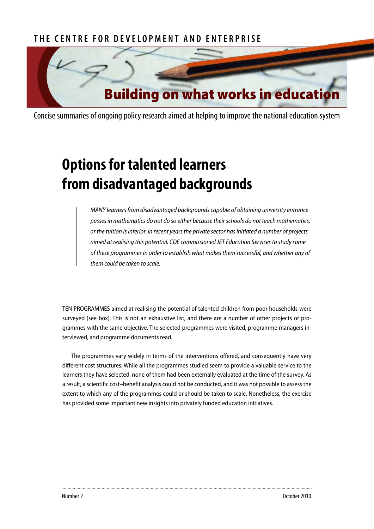# **The Cen t re for Developmen t an d E n terprise**



Concise summaries of ongoing policy research aimed at helping to improve the national education system

# **Options for talented learners from disadvantaged backgrounds**

*MANY learners from disadvantaged backgrounds capable of obtaining university entrance passes in mathematics do not do so either because their schools do not teach mathematics, or the tuition is inferior. In recent years the private sector has initiated a number of projects aimed at realising this potential. CDE commissioned JET Education Services to study some of these programmes in order to establish what makes them successful, and whether any of them could be taken to scale.*

TEN PROGRAMMES aimed at realising the potential of talented children from poor households were surveyed (see box). This is not an exhaustive list, and there are a number of other projects or programmes with the same objective. The selected programmes were visited, programme managers interviewed, and programme documents read.

The programmes vary widely in terms of the interventions offered, and consequently have very different cost structures. While all the programmes studied seem to provide a valuable service to the learners they have selected, none of them had been externally evaluated at the time of the survey. As a result, a scientific cost–benefit analysis could not be conducted, and it was not possible to assess the extent to which any of the programmes could or should be taken to scale. Nonetheless, the exercise has provided some important new insights into privately funded education initiatives.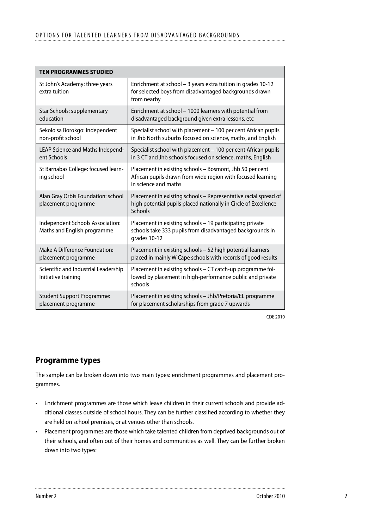| <b>TEN PROGRAMMES STUDIED</b>                                   |                                                                                                                                                 |
|-----------------------------------------------------------------|-------------------------------------------------------------------------------------------------------------------------------------------------|
| St John's Academy: three years<br>extra tuition                 | Enrichment at school - 3 years extra tuition in grades 10-12<br>for selected boys from disadvantaged backgrounds drawn<br>from nearby           |
| Star Schools: supplementary<br>education                        | Enrichment at school - 1000 learners with potential from<br>disadvantaged background given extra lessons, etc                                   |
| Sekolo sa Borokgo: independent<br>non-profit school             | Specialist school with placement - 100 per cent African pupils<br>in Jhb North suburbs focused on science, maths, and English                   |
| LEAP Science and Maths Independ-<br>ent Schools                 | Specialist school with placement - 100 per cent African pupils<br>in 3 CT and Jhb schools focused on science, maths, English                    |
| St Barnabas College: focused learn-<br>ing school               | Placement in existing schools - Bosmont, Jhb 50 per cent<br>African pupils drawn from wide region with focused learning<br>in science and maths |
| Alan Gray Orbis Foundation: school<br>placement programme       | Placement in existing schools - Representative racial spread of<br>high potential pupils placed nationally in Circle of Excellence<br>Schools   |
| Independent Schools Association:<br>Maths and English programme | Placement in existing schools - 19 participating private<br>schools take 333 pupils from disadvantaged backgrounds in<br>grades 10-12           |
| Make A Difference Foundation:<br>placement programme            | Placement in existing schools - 52 high potential learners<br>placed in mainly W Cape schools with records of good results                      |
| Scientific and Industrial Leadership<br>Initiative training     | Placement in existing schools - CT catch-up programme fol-<br>lowed by placement in high-performance public and private<br>schools              |
| <b>Student Support Programme:</b><br>placement programme        | Placement in existing schools - Jhb/Pretoria/EL programme<br>for placement scholarships from grade 7 upwards                                    |

CDE 2010

# **Programme types**

The sample can be broken down into two main types: enrichment programmes and placement programmes.

- Enrichment programmes are those which leave children in their current schools and provide additional classes outside of school hours. They can be further classified according to whether they are held on school premises, or at venues other than schools.
- • Placement programmes are those which take talented children from deprived backgrounds out of their schools, and often out of their homes and communities as well. They can be further broken down into two types: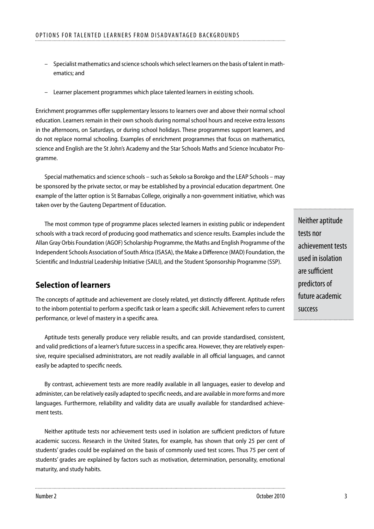- Specialist mathematics and science schools which select learners on the basis of talent in mathematics; and
- Learner placement programmes which place talented learners in existing schools.

Enrichment programmes offer supplementary lessons to learners over and above their normal school education. Learners remain in their own schools during normal school hours and receive extra lessons in the afternoons, on Saturdays, or during school holidays. These programmes support learners, and do not replace normal schooling. Examples of enrichment programmes that focus on mathematics, science and English are the St John's Academy and the Star Schools Maths and Science Incubator Programme.

Special mathematics and science schools – such as Sekolo sa Borokgo and the LEAP Schools – may be sponsored by the private sector, or may be established by a provincial education department. One example of the latter option is St Barnabas College, originally a non-government initiative, which was taken over by the Gauteng Department of Education.

The most common type of programme places selected learners in existing public or independent schools with a track record of producing good mathematics and science results. Examples include the Allan Gray Orbis Foundation (AGOF) Scholarship Programme, the Maths and English Programme of the Independent Schools Association of South Africa (ISASA), the Make a Difference (MAD) Foundation, the Scientific and Industrial Leadership Initiative (SAILI), and the Student Sponsorship Programme (SSP).

## **Selection of learners**

The concepts of aptitude and achievement are closely related, yet distinctly different. Aptitude refers to the inborn potential to perform a specific task or learn a specific skill. Achievement refers to current performance, or level of mastery in a specific area.

Aptitude tests generally produce very reliable results, and can provide standardised, consistent, and valid predictions of a learner's future success in a specific area. However, they are relatively expensive, require specialised administrators, are not readily available in all official languages, and cannot easily be adapted to specific needs.

By contrast, achievement tests are more readily available in all languages, easier to develop and administer, can be relatively easily adapted to specific needs, and are available in more forms and more languages. Furthermore, reliability and validity data are usually available for standardised achievement tests.

Neither aptitude tests nor achievement tests used in isolation are sufficient predictors of future academic success. Research in the United States, for example, has shown that only 25 per cent of students' grades could be explained on the basis of commonly used test scores. Thus 75 per cent of students' grades are explained by factors such as motivation, determination, personality, emotional maturity, and study habits.

Neither aptitude tests nor achievement tests used in isolation are sufficient predictors of future academic success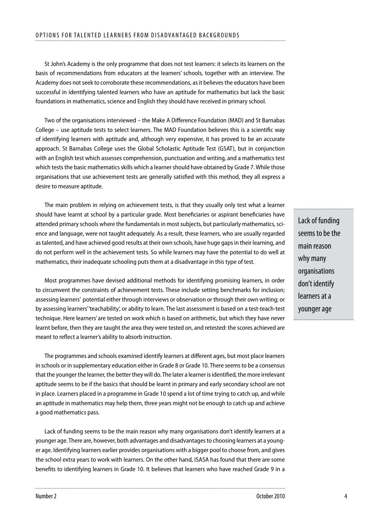St John's Academy is the only programme that does not test learners: it selects its learners on the basis of recommendations from educators at the learners' schools, together with an interview. The Academy does not seek to corroborate these recommendations, as it believes the educators have been successful in identifying talented learners who have an aptitude for mathematics but lack the basic foundations in mathematics, science and English they should have received in primary school.

Two of the organisations interviewed – the Make A Difference Foundation (MAD) and St Barnabas College – use aptitude tests to select learners. The MAD Foundation believes this is a scientific way of identifying learners with aptitude and, although very expensive, it has proved to be an accurate approach. St Barnabas College uses the Global Scholastic Aptitude Test (GSAT), but in conjunction with an English test which assesses comprehension, punctuation and writing, and a mathematics test which tests the basic mathematics skills which a learner should have obtained by Grade 7. While those organisations that use achievement tests are generally satisfied with this method, they all express a desire to measure aptitude.

The main problem in relying on achievement tests, is that they usually only test what a learner should have learnt at school by a particular grade. Most beneficiaries or aspirant beneficiaries have attended primary schools where the fundamentals in most subjects, but particularly mathematics, science and language, were not taught adequately. As a result, these learners, who are usually regarded as talented, and have achieved good results at their own schools, have huge gaps in their learning, and do not perform well in the achievement tests. So while learners may have the potential to do well at mathematics, their inadequate schooling puts them at a disadvantage in this type of test.

Most programmes have devised additional methods for identifying promising learners, in order to circumvent the constraints of achievement tests. These include setting benchmarks for inclusion; assessing learners' potential either through interviews or observation or through their own writing; or by assessing learners' 'teachability', or ability to learn. The last assessment is based on a test-teach-test technique. Here learners' are tested on work which is based on arithmetic, but which they have never learnt before, then they are taught the area they were tested on, and retested: the scores achieved are meant to reflect a learner's ability to absorb instruction.

The programmes and schools examined identify learners at different ages, but most place learners in schools or in supplementary education either in Grade 8 or Grade 10. There seems to be a consensus that the younger the learner, the better they will do. The later a learner is identified, the more irrelevant aptitude seems to be if the basics that should be learnt in primary and early secondary school are not in place. Learners placed in a programme in Grade 10 spend a lot of time trying to catch up, and while an aptitude in mathematics may help them, three years might not be enough to catch up and achieve a good mathematics pass.

Lack of funding seems to be the main reason why many organisations don't identify learners at a younger age. There are, however, both advantages and disadvantages to choosing learners at a younger age. Identifying learners earlier provides organisations with a bigger pool to choose from, and gives the school extra years to work with learners. On the other hand, ISASA has found that there are some benefits to identifying learners in Grade 10. It believes that learners who have reached Grade 9 in a Lack of funding seems to be the main reason why many organisations don't identify learners at a younger age

.......................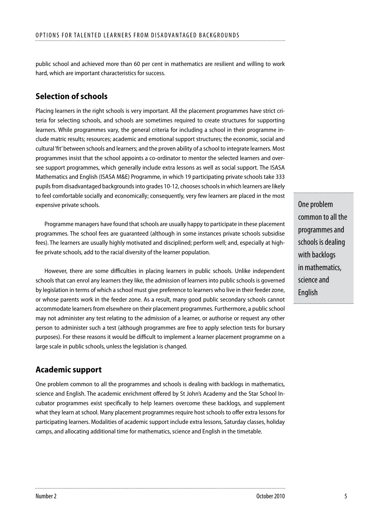public school and achieved more than 60 per cent in mathematics are resilient and willing to work hard, which are important characteristics for success.

# **Selection of schools**

Placing learners in the right schools is very important. All the placement programmes have strict criteria for selecting schools, and schools are sometimes required to create structures for supporting learners. While programmes vary, the general criteria for including a school in their programme include matric results; resources; academic and emotional support structures; the economic, social and cultural 'fit' between schools and learners; and the proven ability of a school to integrate learners. Most programmes insist that the school appoints a co-ordinator to mentor the selected learners and oversee support programmes, which generally include extra lessons as well as social support. The ISASA Mathematics and English (ISASA M&E) Programme, in which 19 participating private schools take 333 pupils from disadvantaged backgrounds into grades 10-12, chooses schools in which learners are likely to feel comfortable socially and economically; consequently, very few learners are placed in the most expensive private schools.

Programme managers have found that schools are usually happy to participate in these placement programmes. The school fees are guaranteed (although in some instances private schools subsidise fees). The learners are usually highly motivated and disciplined; perform well; and, especially at highfee private schools, add to the racial diversity of the learner population.

However, there are some difficulties in placing learners in public schools. Unlike independent schools that can enrol any learners they like, the admission of learners into public schools is governed by legislation in terms of which a school must give preference to learners who live in their feeder zone, or whose parents work in the feeder zone. As a result, many good public secondary schools cannot accommodate learners from elsewhere on their placement programmes. Furthermore, a public school may not administer any test relating to the admission of a learner, or authorise or request any other person to administer such a test (although programmes are free to apply selection tests for bursary purposes). For these reasons it would be difficult to implement a learner placement programme on a large scale in public schools, unless the legislation is changed.

# **Academic support**

One problem common to all the programmes and schools is dealing with backlogs in mathematics, science and English. The academic enrichment offered by St John's Academy and the Star School Incubator programmes exist specifically to help learners overcome these backlogs, and supplement what they learn at school. Many placement programmes require host schools to offer extra lessons for participating learners. Modalities of academic support include extra lessons, Saturday classes, holiday camps, and allocating additional time for mathematics, science and English in the timetable.

One problem common to all the programmes and schools is dealing with backlogs in mathematics, science and **English**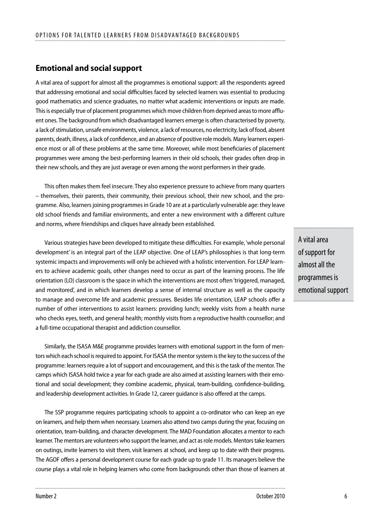# **Emotional and social support**

A vital area of support for almost all the programmes is emotional support: all the respondents agreed that addressing emotional and social difficulties faced by selected learners was essential to producing good mathematics and science graduates, no matter what academic interventions or inputs are made. This is especially true of placement programmes which move children from deprived areas to more affluent ones. The background from which disadvantaged learners emerge is often characterised by poverty, a lack of stimulation, unsafe environments, violence, a lack of resources, no electricity, lack of food, absent parents, death, illness, a lack of confidence, and an absence of positive role models. Many learners experience most or all of these problems at the same time. Moreover, while most beneficiaries of placement programmes were among the best-performing learners in their old schools, their grades often drop in their new schools, and they are just average or even among the worst performers in their grade.

This often makes them feel insecure. They also experience pressure to achieve from many quarters – themselves, their parents, their community, their previous school, their new school, and the programme. Also, learners joining programmes in Grade 10 are at a particularly vulnerable age: they leave old school friends and familiar environments, and enter a new environment with a different culture and norms, where friendships and cliques have already been established.

Various strategies have been developed to mitigate these difficulties. For example, 'whole personal development' is an integral part of the LEAP objective. One of LEAP's philosophies is that long-term systemic impacts and improvements will only be achieved with a holistic intervention. For LEAP learners to achieve academic goals, other changes need to occur as part of the learning process. The life orientation (LO) classroom is the space in which the interventions are most often 'triggered, managed, and monitored', and in which learners develop a sense of internal structure as well as the capacity to manage and overcome life and academic pressures. Besides life orientation, LEAP schools offer a number of other interventions to assist learners: providing lunch; weekly visits from a health nurse who checks eyes, teeth, and general health; monthly visits from a reproductive health counsellor; and a full-time occupational therapist and addiction counsellor.

Similarly, the ISASA M&E programme provides learners with emotional support in the form of mentors which each school is required to appoint. For ISASA the mentor system is the key to the success of the programme: learners require a lot of support and encouragement, and this is the task of the mentor. The camps which ISASA hold twice a year for each grade are also aimed at assisting learners with their emotional and social development; they combine academic, physical, team-building, confidence-building, and leadership development activities. In Grade 12, career guidance is also offered at the camps.

The SSP programme requires participating schools to appoint a co-ordinator who can keep an eye on learners, and help them when necessary. Learners also attend two camps during the year, focusing on orientation, team-building, and character development. The MAD Foundation allocates a mentor to each learner. The mentors are volunteers who support the learner, and act as role models. Mentors take learners on outings, invite learners to visit them, visit learners at school, and keep up to date with their progress. The AGOF offers a personal development course for each grade up to grade 11. Its managers believe the course plays a vital role in helping learners who come from backgrounds other than those of learners at A vital area of support for almost all the programmes is emotional support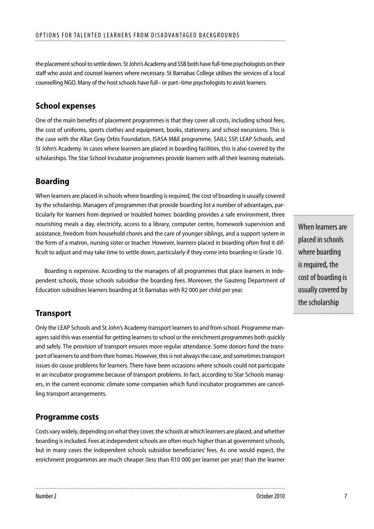the placement school to settle down. St John's Academy and SSB both have full-time psychologists on their staff who assist and counsel learners where necessary. St Barnabas College utilises the services of a local counselling NGO. Many of the host schools have full– or part–time psychologists to assist learners.

## **School expenses**

One of the main benefits of placement programmes is that they cover all costs, including school fees, the cost of uniforms, sports clothes and equipment, books, stationery, and school excursions. This is the case with the Allan Gray Orbis Foundation, ISASA M&E programme, SAILI, SSP, LEAP Schools, and St John's Academy. In cases where learners are placed in boarding facilities, this is also covered by the scholarships. The Star School Incubator programmes provide learners with all their learning materials.

# **Boarding**

When learners are placed in schools where boarding is required, the cost of boarding is usually covered by the scholarship. Managers of programmes that provide boarding list a number of advantages, particularly for learners from deprived or troubled homes: boarding provides a safe environment, three nourishing meals a day, electricity, access to a library, computer centre, homework supervision and assistance, freedom from household chores and the care of younger siblings, and a support system in the form of a matron, nursing sister or teacher. However, learners placed in boarding often find it difficult to adjust and may take time to settle down, particularly if they come into boarding in Grade 10.

Boarding is expensive. According to the managers of all programmes that place learners in independent schools, those schools subsidise the boarding fees. Moreover, the Gauteng Department of Education subsidises learners boarding at St Barnabas with R2 000 per child per year.

# **Transport**

Only the LEAP Schools and St John's Academy transport learners to and from school. Programme managers said this was essential for getting learners to school or the enrichment programmes both quickly and safely. The provision of transport ensures more regular attendance. Some donors fund the transport of learners to and from their homes. However, this is not always the case, and sometimes transport issues do cause problems for learners. There have been occasions where schools could not participate in an incubator programme because of transport problems. In fact, according to Star Schools managers, in the current economic climate some companies which fund incubator programmes are cancelling transport arrangements.

## **Programme costs**

Costs vary widely, depending on what they cover, the schools at which learners are placed, and whether boarding is included. Fees at independent schools are often much higher than at government schools, but in many cases the independent schools subsidise beneficiaries' fees. As one would expect, the enrichment programmes are much cheaper (less than R10 000 per learner per year) than the learner

When learners are placed in schools where boarding is required, the cost of boarding is usually covered by the scholarship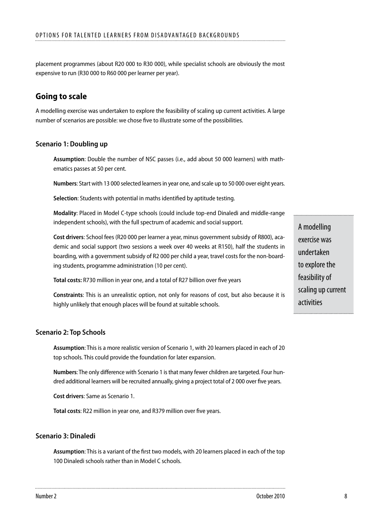placement programmes (about R20 000 to R30 000), while specialist schools are obviously the most expensive to run (R30 000 to R60 000 per learner per year).

## **Going to scale**

A modelling exercise was undertaken to explore the feasibility of scaling up current activities. A large number of scenarios are possible: we chose five to illustrate some of the possibilities.

#### **Scenario 1: Doubling up**

**Assumption**: Double the number of NSC passes (i.e., add about 50 000 learners) with mathematics passes at 50 per cent.

**Numbers**: Start with 13 000 selected learners in year one, and scale up to 50 000 over eight years.

**Selection**: Students with potential in maths identified by aptitude testing.

**Modality**: Placed in Model C-type schools (could include top-end Dinaledi and middle-range independent schools), with the full spectrum of academic and social support.

**Cost drivers**: School fees (R20 000 per learner a year, minus government subsidy of R800), academic and social support (two sessions a week over 40 weeks at R150), half the students in boarding, with a government subsidy of R2 000 per child a year, travel costs for the non-boarding students, programme administration (10 per cent).

**Total costs:** R730 million in year one, and a total of R27 billion over five years

**Constraints**: This is an unrealistic option, not only for reasons of cost, but also because it is highly unlikely that enough places will be found at suitable schools.

#### **Scenario 2: Top Schools**

**Assumption**: This is a more realistic version of Scenario 1, with 20 learners placed in each of 20 top schools. This could provide the foundation for later expansion.

**Numbers**: The only difference with Scenario 1 is that many fewer children are targeted. Four hundred additional learners will be recruited annually, giving a project total of 2 000 over five years.

**Cost drivers**: Same as Scenario 1.

**Total costs**: R22 million in year one, and R379 million over five years.

#### **Scenario 3: Dinaledi**

**Assumption**: This is a variant of the first two models, with 20 learners placed in each of the top 100 Dinaledi schools rather than in Model C schools.

A modelling exercise was undertaken to explore the feasibility of scaling up current activities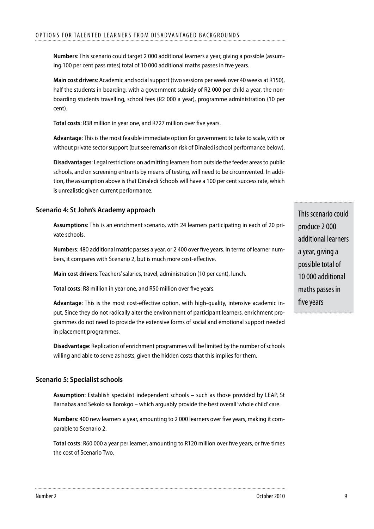**Numbers**: This scenario could target 2 000 additional learners a year, giving a possible (assuming 100 per cent pass rates) total of 10 000 additional maths passes in five years.

**Main cost drivers**: Academic and social support (two sessions per week over 40 weeks at R150), half the students in boarding, with a government subsidy of R2 000 per child a year, the nonboarding students travelling, school fees (R2 000 a year), programme administration (10 per cent).

**Total costs**: R38 million in year one, and R727 million over five years.

**Advantage**: This is the most feasible immediate option for government to take to scale, with or without private sector support (but see remarks on risk of Dinaledi school performance below).

**Disadvantages**: Legal restrictions on admitting learners from outside the feeder areas to public schools, and on screening entrants by means of testing, will need to be circumvented. In addition, the assumption above is that Dinaledi Schools will have a 100 per cent success rate, which is unrealistic given current performance.

## **Scenario 4: St John's Academy approach**

**Assumptions**: This is an enrichment scenario, with 24 learners participating in each of 20 private schools.

**Numbers**: 480 additional matric passes a year, or 2 400 over five years. In terms of learner numbers, it compares with Scenario 2, but is much more cost-effective.

**Main cost drivers**: Teachers' salaries, travel, administration (10 per cent), lunch.

**Total costs**: R8 million in year one, and R50 million over five years.

**Advantage**: This is the most cost-effective option, with high-quality, intensive academic input. Since they do not radically alter the environment of participant learners, enrichment programmes do not need to provide the extensive forms of social and emotional support needed in placement programmes.

**Disadvantage**: Replication of enrichment programmes will be limited by the number of schools willing and able to serve as hosts, given the hidden costs that this implies for them.

## **Scenario 5: Specialist schools**

**Assumption**: Establish specialist independent schools – such as those provided by LEAP, St Barnabas and Sekolo sa Borokgo – which arguably provide the best overall 'whole child' care.

**Numbers**: 400 new learners a year, amounting to 2 000 learners over five years, making it comparable to Scenario 2.

**Total costs**: R60 000 a year per learner, amounting to R120 million over five years, or five times the cost of Scenario Two.

This scenario could produce 2 000 additional learners a year, giving a possible total of 10 000 additional maths passes in five years

.....................................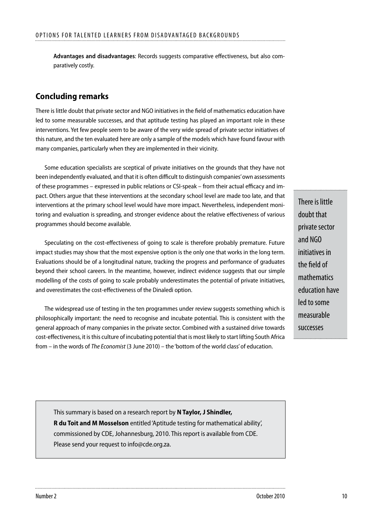**Advantages and disadvantages**: Records suggests comparative effectiveness, but also comparatively costly.

# **Concluding remarks**

There is little doubt that private sector and NGO initiatives in the field of mathematics education have led to some measurable successes, and that aptitude testing has played an important role in these interventions. Yet few people seem to be aware of the very wide spread of private sector initiatives of this nature, and the ten evaluated here are only a sample of the models which have found favour with many companies, particularly when they are implemented in their vicinity.

Some education specialists are sceptical of private initiatives on the grounds that they have not been independently evaluated, and that it is often difficult to distinguish companies' own assessments of these programmes – expressed in public relations or CSI-speak – from their actual efficacy and impact. Others argue that these interventions at the secondary school level are made too late, and that interventions at the primary school level would have more impact. Nevertheless, independent monitoring and evaluation is spreading, and stronger evidence about the relative effectiveness of various programmes should become available.

Speculating on the cost-effectiveness of going to scale is therefore probably premature. Future impact studies may show that the most expensive option is the only one that works in the long term. Evaluations should be of a longitudinal nature, tracking the progress and performance of graduates beyond their school careers. In the meantime, however, indirect evidence suggests that our simple modelling of the costs of going to scale probably underestimates the potential of private initiatives, and overestimates the cost-effectiveness of the Dinaledi option.

The widespread use of testing in the ten programmes under review suggests something which is philosophically important: the need to recognise and incubate potential. This is consistent with the general approach of many companies in the private sector. Combined with a sustained drive towards cost-effectiveness, it is this culture of incubating potential that is most likely to start lifting South Africa from – in the words of *The Economist* (3 June 2010) – the 'bottom of the world class' of education.

There is little doubt that private sector and NGO initiatives in the field of mathematics education have led to some measurable successes

This summary is based on a research report by **N Taylor, J Shindler, R du Toit and M Mosselson** entitled 'Aptitude testing for mathematical ability', commissioned by CDE, Johannesburg, 2010. This report is available from CDE. Please send your request to info@cde.org.za.